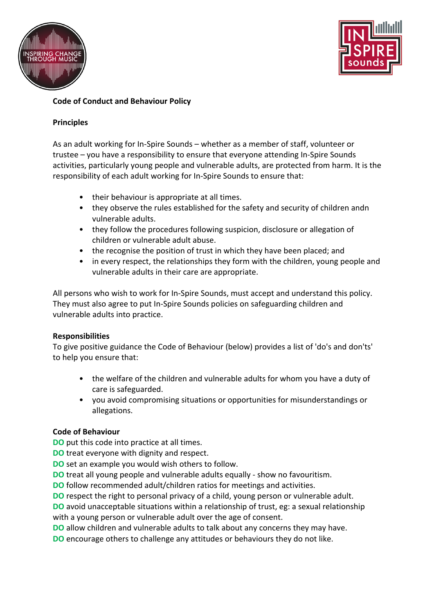



# **Code of Conduct and Behaviour Policy**

### **Principles**

As an adult working for In-Spire Sounds – whether as a member of staff, volunteer or trustee – you have a responsibility to ensure that everyone attending In-Spire Sounds activities, particularly young people and vulnerable adults, are protected from harm. It is the responsibility of each adult working for In-Spire Sounds to ensure that:

- their behaviour is appropriate at all times.
- they observe the rules established for the safety and security of children andn vulnerable adults.
- they follow the procedures following suspicion, disclosure or allegation of children or vulnerable adult abuse.
- the recognise the position of trust in which they have been placed; and
- in every respect, the relationships they form with the children, young people and vulnerable adults in their care are appropriate.

All persons who wish to work for In-Spire Sounds, must accept and understand this policy. They must also agree to put In-Spire Sounds policies on safeguarding children and vulnerable adults into practice.

## **Responsibilities**

To give positive guidance the Code of Behaviour (below) provides a list of 'do's and don'ts' to help you ensure that:

- the welfare of the children and vulnerable adults for whom you have a duty of care is safeguarded.
- you avoid compromising situations or opportunities for misunderstandings or allegations.

## **Code of Behaviour**

**DO** put this code into practice at all times.

**DO** treat everyone with dignity and respect.

**DO** set an example you would wish others to follow.

**DO** treat all young people and vulnerable adults equally - show no favouritism.

**DO** follow recommended adult/children ratios for meetings and activities.

**DO** respect the right to personal privacy of a child, young person or vulnerable adult. **DO** avoid unacceptable situations within a relationship of trust, eg: a sexual relationship with a young person or vulnerable adult over the age of consent.

**DO** allow children and vulnerable adults to talk about any concerns they may have.

**DO** encourage others to challenge any attitudes or behaviours they do not like.